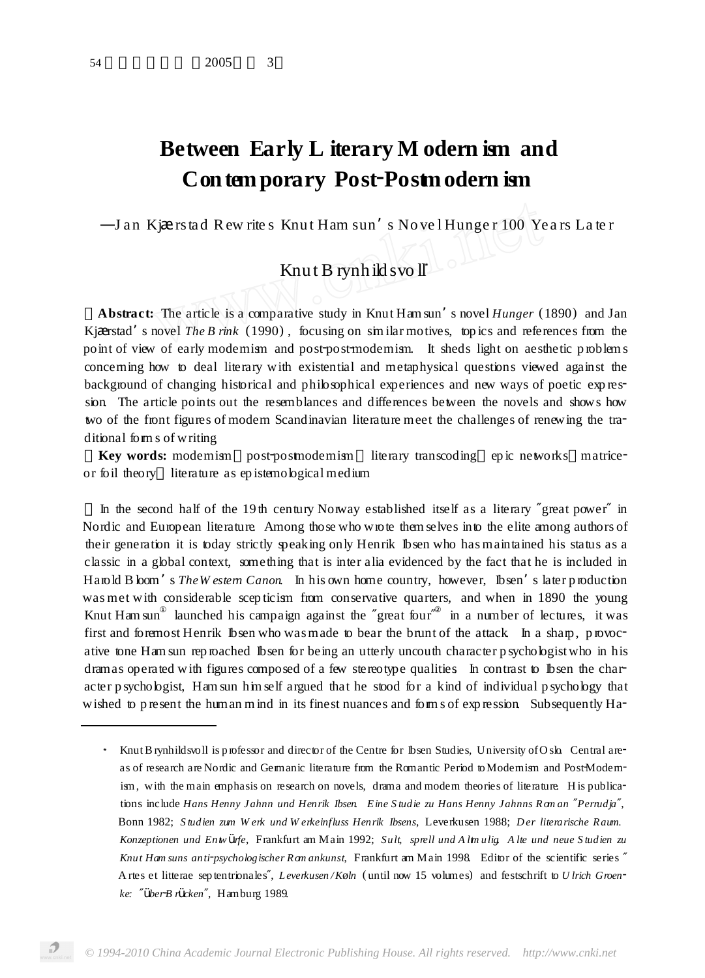## **Between Early L iterary M odern ism and Contemporary Post**2**Postmodern ism**

 $\overline{-1}$  an Kjærstad Rew rite s Knut Ham sun's Nove l Hunger 100 Years Later

## Knut B rynh ild svo ll 3

**Abstract:** The article is a comparative study in Knut Ham sun's novel *Hunger* (1890) and Jan Kjærstad's novel *The B rink* (1990), focusing on similar motives, topics and references from the point of view of early modernism and post-post-modernism. It sheds light on aesthetic problem s concerning how to deal literary with existential and metaphysical questions viewed against the background of changing historical and philosophical experiences and new ways of poetic expression. The article points out the resemblances and differences between the novels and shows how two of the front figures of modern Scandinavian literature meet the challenges of renewing the traditional form s of writing.

Key words: modernism post-postmodernism literary transcoding epic networks matriceor foil theory literature as ep istemological medium

In the second half of the 19 th century Norway established itself as a literary great power in Nordic and European literature. Among those who wrote them selves into the elite among authors of their generation it is today strictly speaking only Henrik Ibsen who has maintained his status as a classic in a global context, something that is inter alia evidenced by the fact that he is included in Harold Bloom's *TheW estern Canon*. In his own home country, however, Ibsen's later p roduction was met with considerable scep ticism from conservative quarters, and when in 1890 the young Knut Ham sun launched his campaign against the great four in a number of lectures, it was first and foremost Henrik Ibsen who was made to bear the brunt of the attack. In a sharp, p rovocative tone Ham sun rep roached Ibsen for being an utterly uncouth character p sychologistwho in his dramas operated with figures composed of a few stereotype qualities. In contrast to Ibsen the character p sychologist, Ham sun him self argued that he stood for a kind of individual p sychology that wished to p resent the human m ind in its finest nuances and form s of expression. Subsequently Ha-

<sup>\*</sup> Knut Brynhildsvoll is professor and director of the Centre for Ibsen Studies, University of Oslo. Central areas of research are Nordic and Germanic literature from the Romantic Period to Modernism and PostModernism, with the main emphasis on research on novels, drama and modern theories of literature. His publications include *Hans Henny Jahnn und Henrik Ibsen. Eine S tudie zu Hans Henny Jahnns Rom an Perrudja* , Bonn 1982; *S tudien zum W erk und W erkeinfluss Henrik Ibsens*, Leverkusen 1988; *Der literarische Raum.* Konzeptionen und Enwürfe, Frankfurt am Main 1992; Sult, sprell und Almulig Alte und neue Studien zu *Knut Ham suns anti*2*psychologischer Rom ankunst*, Frankfurt am Main 1998. Editor of the scientific series A rtes et litterae septentrionales, *Leverkusen/Koln* (until now 15 volumes) and festschrift to *U* lrich *Groenke:* <sup>ü</sup>*ber*2*<sup>B</sup> <sup>r</sup>*ü*cken* , Hamburg 1989.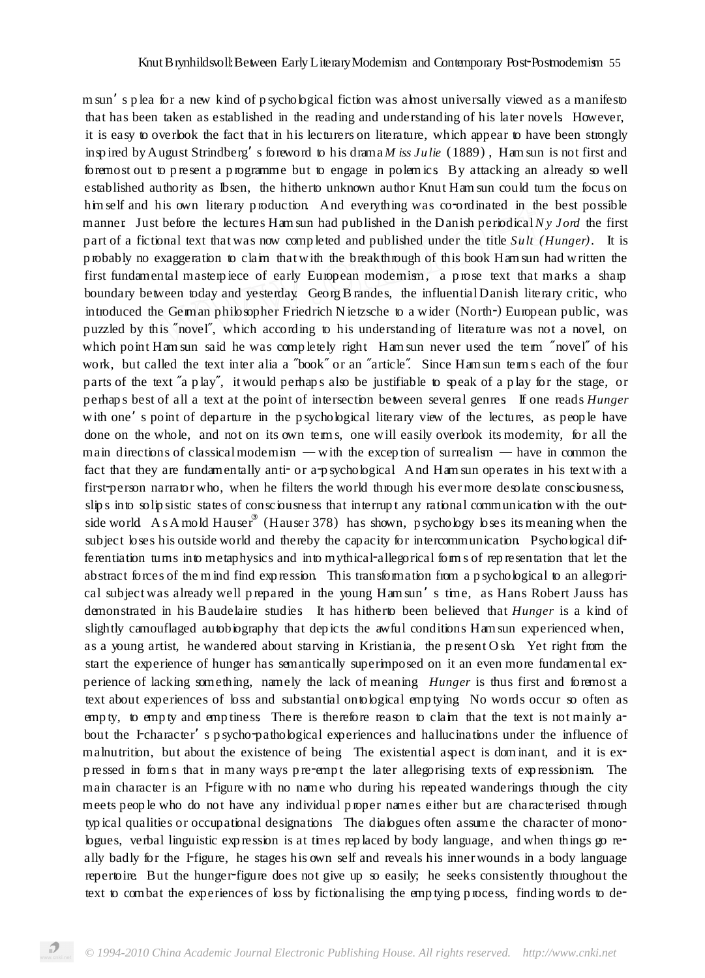m sun's p lea for a new kind of p sychological fiction was almost universally viewed as a manifesto that has been taken as established in the reading and understanding of his later novels. However, it is easy to overlook the fact that in his lecturers on literature, which appear to have been strongly insp ired byAugust Strindberg's foreword to his drama *M iss Ju lie* (1889) , Ham sun is not first and foremost out to p resent a p rogramme but to engage in polem ics. By attacking an already so well established authority as Ibsen, the hitherto unknown author Knut Ham sun could turn the focus on him self and his own literary production. And everything was co-ordinated in the best possible manner. Just before the lectures Ham sun had published in the Danish periodical  $N y$  *Jord* the first part of a fictional text that was now comp leted and published under the title *Sult (Hunger)*. It is p robably no exaggeration to claim that with the breakthrough of this book Ham sun had written the first fundamental masterpiece of early European modernism, a prose text that marks a sharp boundary between today and yesterday. Georg B randes, the influential Danish literary critic, who introduced the German philosopher Friedrich N ietzsche to a wider (North-) European public, was puzzled by this novel , which according to his understanding of literature was not a novel, on which point Ham sun said he was completely right. Ham sun never used the term novel of his work, but called the text inter alia a book or an article. Since Ham sun terms each of the four parts of the text a p lay , it would perhap s also be justifiable to speak of a p lay for the stage, or perhap s best of all a text at the point of intersection between several genres. If one reads *Hunger* with one's point of departure in the psychological literary view of the lectures, as people have done on the whole, and not on its own term s, one will easily overlook its modernity, for all the main directions of classical modernism —with the exception of surrealism — have in common the fact that they are fundamentally anti- or a-p sychological. And Ham sun operates in his text with a first-person narrator who, when he filters the world through his ever more desolate consciousness, slip s into solip sistic states of consciousness that interrup t any rational communication with the outside world. A s A mold Hauser (Hauser 378) has shown, p sychology loses its meaning when the subject loses his outside world and thereby the capacity for intercommunication. Psychological differentiation turns into metaphysics and into mythical-allegorical forms of representation that let the abstract forces of the m ind find expression. This transformation from a p sychological to an allegorical subject was already well p repared in the young Ham sun's time, as Hans Robert Jauss has demonstrated in his Baudelaire studies. It has hitherto been believed that *Hunger* is a kind of slightly camouflaged autobiography that dep icts the awful conditions Ham sun experienced when, as a young artist, he wandered about starving in Kristiania, the present O sb. Yet right from the start the experience of hunger has semantically superimposed on it an even more fundamental experience of lacking something, namely the lack of meaning. *Hunger* is thus first and foremost a text about experiences of loss and substantial ontological emp tying. No words occur so often as empty, to empty and emptiness. There is therefore reason to claim that the text is not mainly about the I-character's p sycho-pathological experiences and hallucinations under the influence of malnutrition, but about the existence of being. The existential aspect is dominant, and it is expressed in form s that in many ways pre-empt the later allegorising texts of expressionism. The main character is an I-figure with no name who during his repeated wanderings through the city meets peop le who do not have any individual p roper names either but are characterised through typical qualities or occupational designations. The dialogues often assume the character of monologues, verbal linguistic expression is at times replaced by body language, and when things go really badly for the I-figure, he stages his own self and reveals his inner wounds in a body language repertoire. But the hunger-figure does not give up so easily; he seeks consistently throughout the text to combat the experiences of loss by fictionalising the emptying process, finding words to de-

 $\mathcal{P}$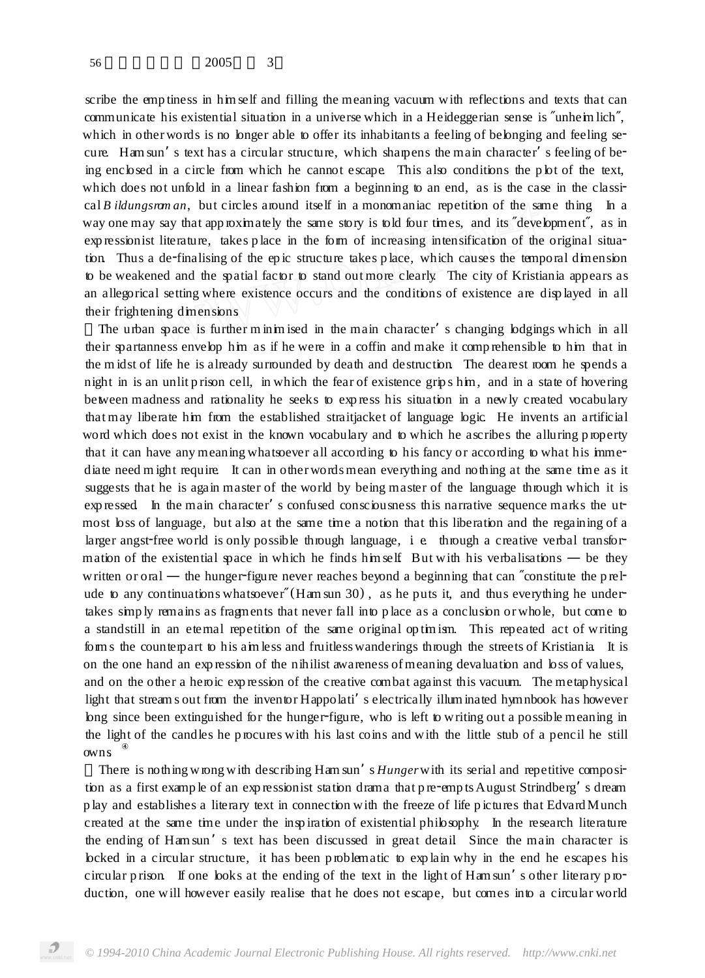scribe the emp tiness in him self and filling the meaning vacuum with reflections and texts that can communicate his existential situation in a universe which in a Heideggerian sense is unheim lich , which in other words is no longer able to offer its inhabitants a feeling of belonging and feeling secure. Ham sun's text has a circular structure, which sharpens the main character's feeling of being enclosed in a circle from which he cannot escape. This also conditions the plot of the text, which does not unfold in a linear fashion from a beginning to an end, as is the case in the classical *B ildungsrom an*, but circles around itself in a monomaniac repetition of the same thing. In a way one may say that app roximately the same story is told four times, and its development, as in expressionist literature, takes place in the form of increasing intensification of the original situation. Thus a de-finalising of the epic structure takes place, which causes the temporal dimension to be weakened and the spatial factor to stand out more clearly. The city of Kristiania appears as an allegorical setting where existence occurs and the conditions of existence are disp layed in all their frightening dimensions.

The urban space is further m inimised in the main character's changing bdgings which in all their spartanness envelop him as if he were in a coffin and make it comp rehensible to him that in the m idst of life he is already surrounded by death and destruction. The dearest room he spends a night in is an unlit p rison cell, in which the fear of existence grip s him, and in a state of hovering between madness and rationality he seeks to exp ress his situation in a newly created vocabulary that may liberate him from the established straitjacket of language logic. He invents an artificial word which does not exist in the known vocabulary and to which he ascribes the alluring property that it can have any meaning whatsoever all according to his fancy or according to what his immediate need m ight require. It can in otherwordsmean everything and nothing at the same time as it suggests that he is again master of the world by being master of the language through which it is expressed. In the main character's confused consciousness this narrative sequence marks the  $u<sup>+</sup>$ most bss of language, but also at the same time a notion that this liberation and the regaining of a larger angst-free world is only possible through language, i.e. through a creative verbal transformation of the existential space in which he finds himself. But with his verbalisations — be they written or oral — the hunger-figure never reaches beyond a beginning that can constitute the prelude to any continuations whatsoever (Ham sun 30), as he puts it, and thus everything he undertakes simp ly remains as fragments that never fall into p lace as a conclusion or whole, but come to a standstill in an eternal repetition of the same original op tim ism. This repeated act of writing form s the counterpart to his aim less and fruitless wanderings through the streets of Kristiania. It is on the one hand an exp ression of the nihilist awareness ofmeaning devaluation and loss of values, and on the other a heroic exp ression of the creative combat against this vacuum. The metaphysical light that stream s out from the inventor Happolati's electrically illum inated hymnbook has however long since been extinguished for the hunger-figure, who is left to writing out a possible meaning in the light of the candles he p rocures with his last coins and with the little stub of a pencil he still owns.

There is nothing wrong with describing Ham sun's *Hunger* with its serial and repetitive compositiontion as a first example of an expressionist station drama that p re-empts August Strindberg's dream p lay and establishes a literary text in connection with the freeze of life p ictures that EdvardMunch created at the same time under the insp iration of existential philosophy. In the research literature the ending of Ham sun's text has been discussed in great detail. Since the main character is locked in a circular structure, it has been p roblematic to exp lain why in the end he escapes his circular prison. If one looks at the ending of the text in the light of Ham sun's other literary production, one will however easily realise that he does not escape, but comes into a circular world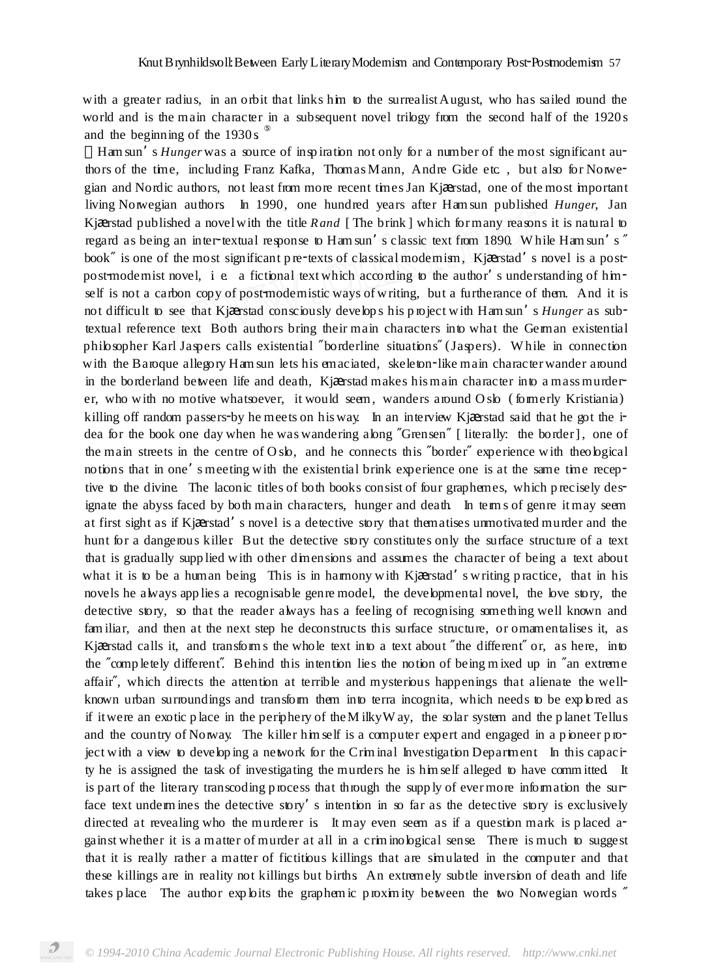with a greater radius, in an orbit that links him to the surrealist August, who has sailed round the world and is the main character in a subsequent novel trilogy from the second half of the 1920s and the beginning of the 1930 s.

Ham sun's *Hunger* was a source of inspiration not only for a number of the most significant authors of the time, including Franz Kafka, Thomas Mann, Andre Gide etc., but also for Norwegian and Nordic authors, not least from more recent times Jan Kjærstad, one of the most important living Norwegian authors. In 1990, one hundred years after Ham sun published *Hunger*, Jan Kjærstad published a novelwith the title *Rand* [The brink] which formany reasons it is natural to regard as being an inter-textual response to Ham sun's classic text from 1890. While Ham sun's book is one of the most significant p re-texts of classical modernism, Kjærstad's novel is a postpost-modernist novel, i.e. a fictional text which according to the author's understanding of himself is not a carbon copy of post-modernistic ways of writing, but a furtherance of them. And it is not difficult to see that Kjærstad consciously develops his project with Ham sun's *Hunger* as subtextual reference text. Both authors bring their main characters into what the German existential philosopher Karl Jaspers calls existential borderline situations (Jaspers). While in connection with the Baroque allegory Ham sun lets his emaciated, skeleton-like main character wander around in the borderland between life and death, Kjærstad makes hismain character into a mass murderer, who with no motive whatsoever, it would seem, wanders around O slo (formerly Kristiania) killing off random passers-by he meets on his way. In an interview Kjærstad said that he got the idea for the book one day when he was wandering along Grensen [ literally: the border], one of the main streets in the centre of O slo, and he connects this border experience with theological notions that in one's meeting with the existential brink experience one is at the same time receptive to the divine. The laconic titles of both books consist of four graphemes, which p recisely designate the abyss faced by both main characters, hunger and death. In terms of genre it may seem at first sight as if Kjærstad's novel is a detective story that thematises unmotivated murder and the hunt for a dangerous killer. But the detective story constitutes only the surface structure of a text that is gradually supp lied with other dimensions and assumes the character of being a text about what it is to be a human being. This is in harmony with  $K_j$ **æ**rstad's writing practice, that in his novels he always app lies a recognisable genre model, the developmental novel, the love story, the detective story, so that the reader always has a feeling of recognising something well known and familiar, and then at the next step he deconstructs this surface structure, or ornamentalises it, as Kjærstad calls it, and transforms the whole text into a text about the different or, as here, into the comp letely different. Behind this intention lies the notion of being m ixed up in an extreme affair, which directs the attention at terrible and mysterious happenings that alienate the wellknown urban surroundings and transform them into terra incognita, which needs to be explored as if itwere an exotic p lace in the periphery of theM ilkyW ay, the solar system and the p lanet Tellus and the country of Norway. The killer him self is a computer expert and engaged in a p ioneer p roject with a view to developing a network for the Criminal Investigation Department. In this capacity he is assigned the task of investigating the murders he is him self alleged to have comm itted. It is part of the literary transcoding process that through the supply of ever more information the surface text undermines the detective story's intention in so far as the detective story is exclusively directed at revealing who the murderer is. It may even seem as if a question mark is placed against whether it is a matter of murder at all in a crim inological sense. There is much to suggest that it is really rather a matter of fictitious killings that are simulated in the computer and that these killings are in reality not killings but births. An extremely subtle inversion of death and life takes place. The author exploits the graphemic proximity between the two Norwegian words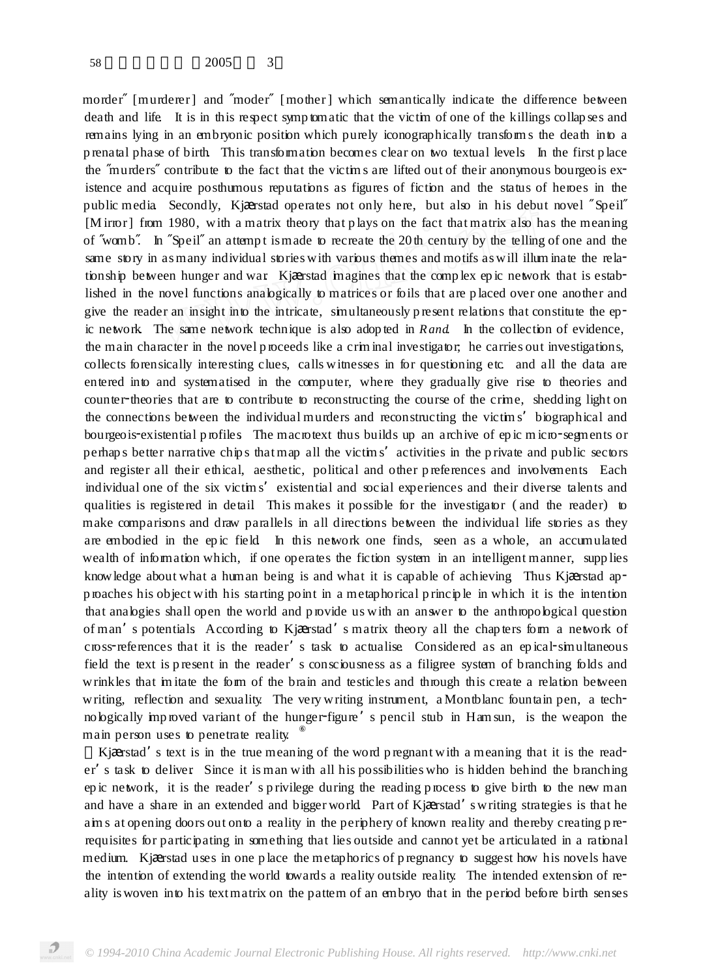morder [murderer] and moder [mother] which semantically indicate the difference between death and life. It is in this respect symp tomatic that the victim of one of the killings collap ses and remains lying in an embryonic position which purely iconographically transform s the death into a p renatal phase of birth. This transformation becomes clear on two textual levels. In the first p lace the murders contribute to the fact that the victims are lifted out of their anonymous bourgeois existence and acquire posthumous reputations as figures of fiction and the status of heroes in the public media. Secondly, Kjærstad operates not only here, but also in his debut novel Speil [M irror] from 1980, with a matrix theory that plays on the fact that matrix also has the meaning of womb . In Speil an attemp t ismade to recreate the 20 th century by the telling of one and the same story in asmany individual stories with various themes and motifs as will illum inate the relationship between hunger and war. Kjærstad imagines that the complex epic network that is established in the novel functions analogically to matrices or foils that are p laced over one another and give the reader an insight into the intricate, simultaneously present relations that constitute the epic network. The same network technique is also adop ted in *Rand*. In the collection of evidence, the main character in the novel p roceeds like a crim inal investigator; he carries out investigations, collects forensically interesting clues, calls witnesses in for questioning etc. and all the data are entered into and systematised in the computer, where they gradually give rise to theories and counter-theories that are to contribute to reconstructing the course of the crime, shedding light on the connections between the individual murders and reconstructing the victim s'biographical and bourgeois-existential p rofiles. The macrotext thus builds up an archive of epic m icro-segments or perhap s better narrative chip s thatmap all the victim s'activities in the p rivate and public sectors and register all their ethical, aesthetic, political and other p references and involvements. Each individual one of the six victims' existential and social experiences and their diverse talents and qualities is registered in detail. This makes it possible for the investigator ( and the reader) to make comparisons and draw parallels in all directions between the individual life stories as they are embodied in the epic field. In this network one finds, seen as a whole, an accumulated wealth of information which, if one operates the fiction system in an intelligent manner, supp lies knowledge about what a human being is and what it is capable of achieving. Thus Kjærstad app roaches his object with his starting point in a metaphorical p rincip le in which it is the intention that analogies shall open the world and p rovide us with an answer to the anthropological question of man's potentials. According to Kjærstad's matrix theory all the chapters form a network of cross-references that it is the reader's task to actualise. Considered as an epical-simultaneous field the text is p resent in the reader's consciousness as a filigree system of branching folds and wrinkles that im itate the form of the brain and testicles and through this create a relation between writing, reflection and sexuality. The very writing instrument, a Montblanc fountain pen, a technologically imp roved variant of the hunger-figure's pencil stub in Ham sun, is the weapon the main person uses to penetrate reality.

Kjærstad's text is in the true meaning of the word p regnant with a meaning that it is the reader's task to deliver. Since it is man with all his possibilities who is hidden behind the branching epic network, it is the reader's privilege during the reading process to give birth to the new man and have a share in an extended and bigger world Part of Kjærstad's writing strategies is that he aim s at opening doors out onto a reality in the periphery of known reality and thereby creating prerequisites for participating in something that lies outside and cannot yet be articulated in a rational medium. Kjærstad uses in one place the metaphorics of pregnancy to suggest how his novels have the intention of extending the world towards a reality outside reality. The intended extension of reality iswoven into his textmatrix on the pattern of an embryo that in the period before birth senses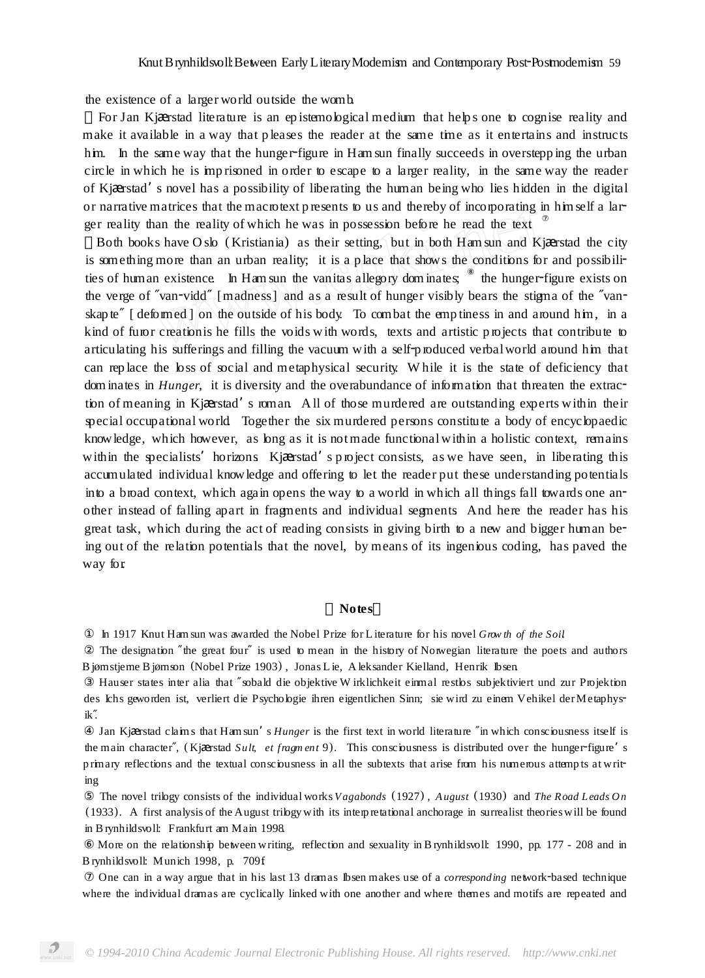the existence of a larger world outside the womb.

For Jan Kjærstad literature is an epistemological medium that helps one to cognise reality and make it available in a way that pleases the reader at the same time as it entertains and instructs him. In the same way that the hunger-figure in Ham sun finally succeeds in overstepping the urban circle in which he is imp risoned in order to escape to a larger reality, in the same way the reader of Kjærstad's novel has a possibility of liberating the human being who lies hidden in the digital or narrative matrices that the macrotext p resents to us and thereby of incorporating in him self a larger reality than the reality of which he was in possession before he read the text.

Both books have O sb (Kristiania) as their setting, but in both Ham sun and Kjærstad the city is something more than an urban reality; it is a place that shows the conditions for and possibili-<br>ties of human existence In Ham sun the vanitas allegory dominates; the hunger-figure exists on ties of human existence. In Ham sun the vanitas allegory dominates; the verge of van-vidd [madness] and as a result of hunger visibly bears the stigma of the vanskap te [ deformed ] on the outside of his body. To combat the emptiness in and around him, in a kind of furor creationis he fills the voids with words, texts and artistic p rojects that contribute to articulating his sufferings and filling the vacuum with a self-produced verbalworld around him that can rep lace the loss of social and metaphysical security. W hile it is the state of deficiency that dom inates in *Hunger*, it is diversity and the overabundance of information that threaten the extractiontion of meaning in Kjærstad's roman. All of those murdered are outstanding experts within their special occupational world. Together the six murdered persons constitute a body of encyclopaedic know ledge, which however, as long as it is not made functional within a holistic context, remains within the specialists' horizons. Kjærstad's project consists, as we have seen, in liberating this accumulated individual knowledge and offering to let the reader put these understanding potentials into a broad context, which again opens the way to a world in which all things fall towards one another instead of falling apart in fragments and individual segments. And here the reader has his great task, which during the act of reading consists in giving birth to a new and bigger human being out of the relation potentials that the novel, by means of its ingenious coding, has paved the way for.

## **Notes**

In 1917 Knut Hamsun was awarded the Nobel Prize for L iterature for his novel *Grow th of the Soil*.

The designation the great four is used to mean in the history of Norwegian literature the poets and authors Bjørnstjerne Bjørnson (Nobel Prize 1903), Jonas Lie, A leksander Kielland, Henrik Ibsen.

Hauser states inter alia that sobald die objektive W irklichkeit einmal restbs subjektiviert und zur Projektion des Ichs geworden ist, verliert die Psychologie ihren eigentlichen Sinn; sie wird zu einem Vehikel der Metaphysik .

Jan Kjærstad claims that Hamsun's *Hunger* is the first text in world literature in which consciousness itself is the main character, (Kjærstad *Sult, et fragment* 9). This consciousness is distributed over the hunger-figure's primary reflections and the textual consciousness in all the subtexts that arise from his numerous attempts at writing.

The novel trilogy consists of the individual works *Vagabonds* (1927) , *August* (1930) and *The Road Leads On* (1933). A first analysis of the August trilogywith its interp retational anchorage in surrealist theorieswill be found in Brynhildsvoll: Frankfurt am Main 1998.

More on the relationship between writing, reflection and sexuality in Brynhildsvoll: 1990, pp. 177 - 208 and in Brynhildsvoll: Munich 1998, p. 709f.

One can in a way argue that in his last 13 dramas Ibsen makes use of a *corresponding* network-based technique where the individual dramas are cyclically linked with one another and where themes and motifs are repeated and